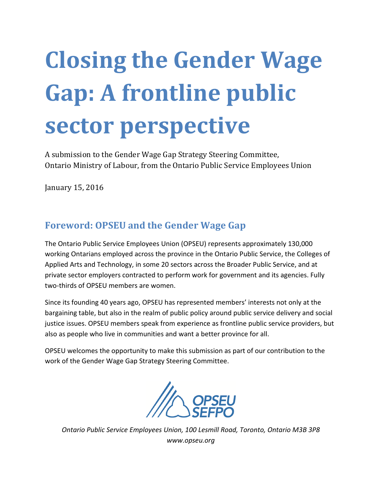# Closing the Gender Wage Gap: A frontline public sector perspective

A submission to the Gender Wage Gap Strategy Steering Committee, Ontario Ministry of Labour, from the Ontario Public Service Employees Union

January 15, 2016

### Foreword: OPSEU and the Gender Wage Gap

The Ontario Public Service Employees Union (OPSEU) represents approximately 130,000 working Ontarians employed across the province in the Ontario Public Service, the Colleges of Applied Arts and Technology, in some 20 sectors across the Broader Public Service, and at private sector employers contracted to perform work for government and its agencies. Fully two-thirds of OPSEU members are women.

Since its founding 40 years ago, OPSEU has represented members' interests not only at the bargaining table, but also in the realm of public policy around public service delivery and social justice issues. OPSEU members speak from experience as frontline public service providers, but also as people who live in communities and want a better province for all.

OPSEU welcomes the opportunity to make this submission as part of our contribution to the work of the Gender Wage Gap Strategy Steering Committee.



Ontario Public Service Employees Union, 100 Lesmill Road, Toronto, Ontario M3B 3P8 www.opseu.org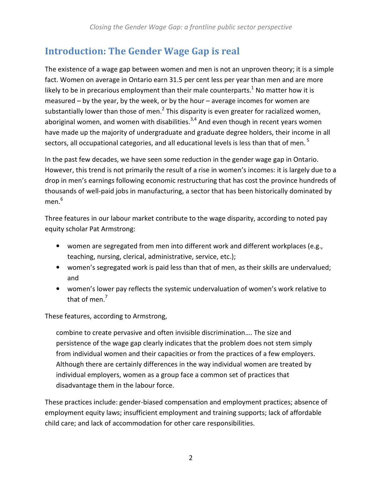# Introduction: The Gender Wage Gap is real

The existence of a wage gap between women and men is not an unproven theory; it is a simple fact. Women on average in Ontario earn 31.5 per cent less per year than men and are more likely to be in precarious employment than their male counterparts.<sup>1</sup> No matter how it is measured – by the year, by the week, or by the hour – average incomes for women are substantially lower than those of men.<sup>2</sup> This disparity is even greater for racialized women, aboriginal women, and women with disabilities. $3,4$  And even though in recent years women have made up the majority of undergraduate and graduate degree holders, their income in all sectors, all occupational categories, and all educational levels is less than that of men.  $^5$ 

In the past few decades, we have seen some reduction in the gender wage gap in Ontario. However, this trend is not primarily the result of a rise in women's incomes: it is largely due to a drop in men's earnings following economic restructuring that has cost the province hundreds of thousands of well-paid jobs in manufacturing, a sector that has been historically dominated by men. $^{\rm 6}$ 

Three features in our labour market contribute to the wage disparity, according to noted pay equity scholar Pat Armstrong:

- women are segregated from men into different work and different workplaces (e.g., teaching, nursing, clerical, administrative, service, etc.);
- women's segregated work is paid less than that of men, as their skills are undervalued; and
- women's lower pay reflects the systemic undervaluation of women's work relative to that of men.<sup>7</sup>

These features, according to Armstrong,

combine to create pervasive and often invisible discrimination…. The size and persistence of the wage gap clearly indicates that the problem does not stem simply from individual women and their capacities or from the practices of a few employers. Although there are certainly differences in the way individual women are treated by individual employers, women as a group face a common set of practices that disadvantage them in the labour force.

These practices include: gender-biased compensation and employment practices; absence of employment equity laws; insufficient employment and training supports; lack of affordable child care; and lack of accommodation for other care responsibilities.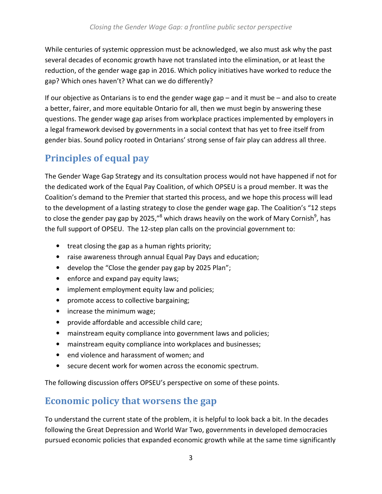While centuries of systemic oppression must be acknowledged, we also must ask why the past several decades of economic growth have not translated into the elimination, or at least the reduction, of the gender wage gap in 2016. Which policy initiatives have worked to reduce the gap? Which ones haven't? What can we do differently?

If our objective as Ontarians is to end the gender wage gap – and it must be – and also to create a better, fairer, and more equitable Ontario for all, then we must begin by answering these questions. The gender wage gap arises from workplace practices implemented by employers in a legal framework devised by governments in a social context that has yet to free itself from gender bias. Sound policy rooted in Ontarians' strong sense of fair play can address all three.

# Principles of equal pay

The Gender Wage Gap Strategy and its consultation process would not have happened if not for the dedicated work of the Equal Pay Coalition, of which OPSEU is a proud member. It was the Coalition's demand to the Premier that started this process, and we hope this process will lead to the development of a lasting strategy to close the gender wage gap. The Coalition's "12 steps to close the gender pay gap by 2025,"<sup>8</sup> which draws heavily on the work of Mary Cornish<sup>9</sup>, has the full support of OPSEU. The 12-step plan calls on the provincial government to:

- treat closing the gap as a human rights priority;
- raise awareness through annual Equal Pay Days and education;
- develop the "Close the gender pay gap by 2025 Plan";
- enforce and expand pay equity laws;
- implement employment equity law and policies;
- promote access to collective bargaining;
- increase the minimum wage;
- provide affordable and accessible child care;
- mainstream equity compliance into government laws and policies;
- mainstream equity compliance into workplaces and businesses;
- end violence and harassment of women; and
- secure decent work for women across the economic spectrum.

The following discussion offers OPSEU's perspective on some of these points.

## Economic policy that worsens the gap

To understand the current state of the problem, it is helpful to look back a bit. In the decades following the Great Depression and World War Two, governments in developed democracies pursued economic policies that expanded economic growth while at the same time significantly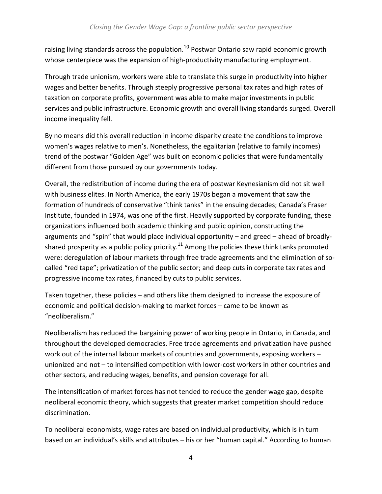raising living standards across the population.<sup>10</sup> Postwar Ontario saw rapid economic growth whose centerpiece was the expansion of high-productivity manufacturing employment.

Through trade unionism, workers were able to translate this surge in productivity into higher wages and better benefits. Through steeply progressive personal tax rates and high rates of taxation on corporate profits, government was able to make major investments in public services and public infrastructure. Economic growth and overall living standards surged. Overall income inequality fell.

By no means did this overall reduction in income disparity create the conditions to improve women's wages relative to men's. Nonetheless, the egalitarian (relative to family incomes) trend of the postwar "Golden Age" was built on economic policies that were fundamentally different from those pursued by our governments today.

Overall, the redistribution of income during the era of postwar Keynesianism did not sit well with business elites. In North America, the early 1970s began a movement that saw the formation of hundreds of conservative "think tanks" in the ensuing decades; Canada's Fraser Institute, founded in 1974, was one of the first. Heavily supported by corporate funding, these organizations influenced both academic thinking and public opinion, constructing the arguments and "spin" that would place individual opportunity – and greed – ahead of broadlyshared prosperity as a public policy priority.<sup>11</sup> Among the policies these think tanks promoted were: deregulation of labour markets through free trade agreements and the elimination of socalled "red tape"; privatization of the public sector; and deep cuts in corporate tax rates and progressive income tax rates, financed by cuts to public services.

Taken together, these policies – and others like them designed to increase the exposure of economic and political decision-making to market forces – came to be known as "neoliberalism."

Neoliberalism has reduced the bargaining power of working people in Ontario, in Canada, and throughout the developed democracies. Free trade agreements and privatization have pushed work out of the internal labour markets of countries and governments, exposing workers – unionized and not – to intensified competition with lower-cost workers in other countries and other sectors, and reducing wages, benefits, and pension coverage for all.

The intensification of market forces has not tended to reduce the gender wage gap, despite neoliberal economic theory, which suggests that greater market competition should reduce discrimination.

To neoliberal economists, wage rates are based on individual productivity, which is in turn based on an individual's skills and attributes – his or her "human capital." According to human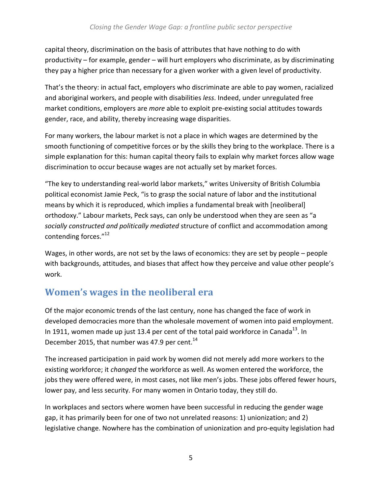capital theory, discrimination on the basis of attributes that have nothing to do with productivity – for example, gender – will hurt employers who discriminate, as by discriminating they pay a higher price than necessary for a given worker with a given level of productivity.

That's the theory: in actual fact, employers who discriminate are able to pay women, racialized and aboriginal workers, and people with disabilities less. Indeed, under unregulated free market conditions, employers are more able to exploit pre-existing social attitudes towards gender, race, and ability, thereby increasing wage disparities.

For many workers, the labour market is not a place in which wages are determined by the smooth functioning of competitive forces or by the skills they bring to the workplace. There is a simple explanation for this: human capital theory fails to explain why market forces allow wage discrimination to occur because wages are not actually set by market forces.

"The key to understanding real-world labor markets," writes University of British Columbia political economist Jamie Peck, "is to grasp the social nature of labor and the institutional means by which it is reproduced, which implies a fundamental break with [neoliberal] orthodoxy." Labour markets, Peck says, can only be understood when they are seen as "a socially constructed and politically mediated structure of conflict and accommodation among contending forces."<sup>12</sup>

Wages, in other words, are not set by the laws of economics: they are set by people – people with backgrounds, attitudes, and biases that affect how they perceive and value other people's work.

# Women's wages in the neoliberal era

Of the major economic trends of the last century, none has changed the face of work in developed democracies more than the wholesale movement of women into paid employment. In 1911, women made up just 13.4 per cent of the total paid workforce in Canada<sup>13</sup>. In December 2015, that number was 47.9 per cent.<sup>14</sup>

The increased participation in paid work by women did not merely add more workers to the existing workforce; it *changed* the workforce as well. As women entered the workforce, the jobs they were offered were, in most cases, not like men's jobs. These jobs offered fewer hours, lower pay, and less security. For many women in Ontario today, they still do.

In workplaces and sectors where women have been successful in reducing the gender wage gap, it has primarily been for one of two not unrelated reasons: 1) unionization; and 2) legislative change. Nowhere has the combination of unionization and pro-equity legislation had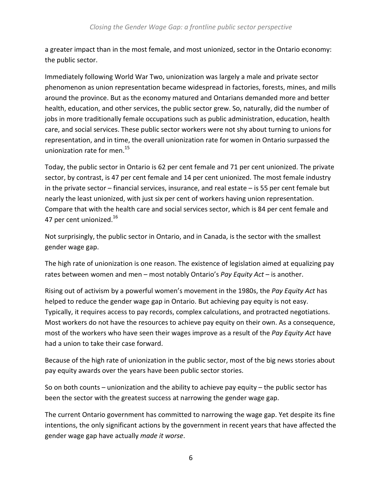a greater impact than in the most female, and most unionized, sector in the Ontario economy: the public sector.

Immediately following World War Two, unionization was largely a male and private sector phenomenon as union representation became widespread in factories, forests, mines, and mills around the province. But as the economy matured and Ontarians demanded more and better health, education, and other services, the public sector grew. So, naturally, did the number of jobs in more traditionally female occupations such as public administration, education, health care, and social services. These public sector workers were not shy about turning to unions for representation, and in time, the overall unionization rate for women in Ontario surpassed the unionization rate for men.<sup>15</sup>

Today, the public sector in Ontario is 62 per cent female and 71 per cent unionized. The private sector, by contrast, is 47 per cent female and 14 per cent unionized. The most female industry in the private sector – financial services, insurance, and real estate – is 55 per cent female but nearly the least unionized, with just six per cent of workers having union representation. Compare that with the health care and social services sector, which is 84 per cent female and 47 per cent unionized.<sup>16</sup>

Not surprisingly, the public sector in Ontario, and in Canada, is the sector with the smallest gender wage gap.

The high rate of unionization is one reason. The existence of legislation aimed at equalizing pay rates between women and men – most notably Ontario's Pay Equity Act – is another.

Rising out of activism by a powerful women's movement in the 1980s, the Pay Equity Act has helped to reduce the gender wage gap in Ontario. But achieving pay equity is not easy. Typically, it requires access to pay records, complex calculations, and protracted negotiations. Most workers do not have the resources to achieve pay equity on their own. As a consequence, most of the workers who have seen their wages improve as a result of the Pay Equity Act have had a union to take their case forward.

Because of the high rate of unionization in the public sector, most of the big news stories about pay equity awards over the years have been public sector stories.

So on both counts – unionization and the ability to achieve pay equity – the public sector has been the sector with the greatest success at narrowing the gender wage gap.

The current Ontario government has committed to narrowing the wage gap. Yet despite its fine intentions, the only significant actions by the government in recent years that have affected the gender wage gap have actually made it worse.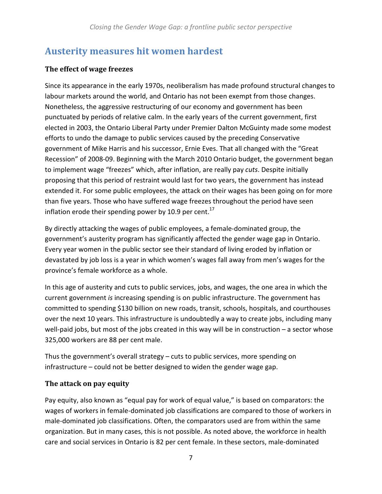### Austerity measures hit women hardest

#### The effect of wage freezes

Since its appearance in the early 1970s, neoliberalism has made profound structural changes to labour markets around the world, and Ontario has not been exempt from those changes. Nonetheless, the aggressive restructuring of our economy and government has been punctuated by periods of relative calm. In the early years of the current government, first elected in 2003, the Ontario Liberal Party under Premier Dalton McGuinty made some modest efforts to undo the damage to public services caused by the preceding Conservative government of Mike Harris and his successor, Ernie Eves. That all changed with the "Great Recession" of 2008-09. Beginning with the March 2010 Ontario budget, the government began to implement wage "freezes" which, after inflation, are really pay cuts. Despite initially proposing that this period of restraint would last for two years, the government has instead extended it. For some public employees, the attack on their wages has been going on for more than five years. Those who have suffered wage freezes throughout the period have seen inflation erode their spending power by 10.9 per cent.<sup>17</sup>

By directly attacking the wages of public employees, a female-dominated group, the government's austerity program has significantly affected the gender wage gap in Ontario. Every year women in the public sector see their standard of living eroded by inflation or devastated by job loss is a year in which women's wages fall away from men's wages for the province's female workforce as a whole.

In this age of austerity and cuts to public services, jobs, and wages, the one area in which the current government is increasing spending is on public infrastructure. The government has committed to spending \$130 billion on new roads, transit, schools, hospitals, and courthouses over the next 10 years. This infrastructure is undoubtedly a way to create jobs, including many well-paid jobs, but most of the jobs created in this way will be in construction – a sector whose 325,000 workers are 88 per cent male.

Thus the government's overall strategy – cuts to public services, more spending on infrastructure – could not be better designed to widen the gender wage gap.

#### The attack on pay equity

Pay equity, also known as "equal pay for work of equal value," is based on comparators: the wages of workers in female-dominated job classifications are compared to those of workers in male-dominated job classifications. Often, the comparators used are from within the same organization. But in many cases, this is not possible. As noted above, the workforce in health care and social services in Ontario is 82 per cent female. In these sectors, male-dominated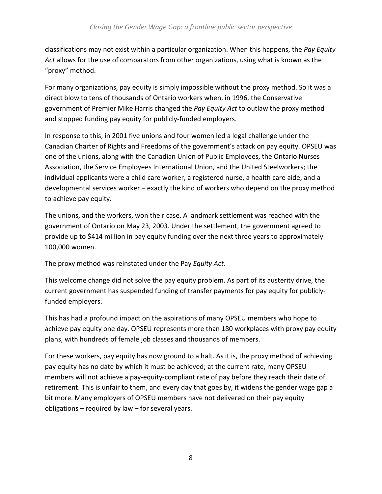classifications may not exist within a particular organization. When this happens, the Pay Equity Act allows for the use of comparators from other organizations, using what is known as the "proxy" method.

For many organizations, pay equity is simply impossible without the proxy method. So it was a direct blow to tens of thousands of Ontario workers when, in 1996, the Conservative government of Premier Mike Harris changed the Pay Equity Act to outlaw the proxy method and stopped funding pay equity for publicly-funded employers.

In response to this, in 2001 five unions and four women led a legal challenge under the Canadian Charter of Rights and Freedoms of the government's attack on pay equity. OPSEU was one of the unions, along with the Canadian Union of Public Employees, the Ontario Nurses Association, the Service Employees International Union, and the United Steelworkers; the individual applicants were a child care worker, a registered nurse, a health care aide, and a developmental services worker – exactly the kind of workers who depend on the proxy method to achieve pay equity.

The unions, and the workers, won their case. A landmark settlement was reached with the government of Ontario on May 23, 2003. Under the settlement, the government agreed to provide up to \$414 million in pay equity funding over the next three years to approximately 100,000 women.

The proxy method was reinstated under the Pay Equity Act.

This welcome change did not solve the pay equity problem. As part of its austerity drive, the current government has suspended funding of transfer payments for pay equity for publiclyfunded employers.

This has had a profound impact on the aspirations of many OPSEU members who hope to achieve pay equity one day. OPSEU represents more than 180 workplaces with proxy pay equity plans, with hundreds of female job classes and thousands of members.

For these workers, pay equity has now ground to a halt. As it is, the proxy method of achieving pay equity has no date by which it must be achieved; at the current rate, many OPSEU members will not achieve a pay-equity-compliant rate of pay before they reach their date of retirement. This is unfair to them, and every day that goes by, it widens the gender wage gap a bit more. Many employers of OPSEU members have not delivered on their pay equity obligations – required by law – for several years.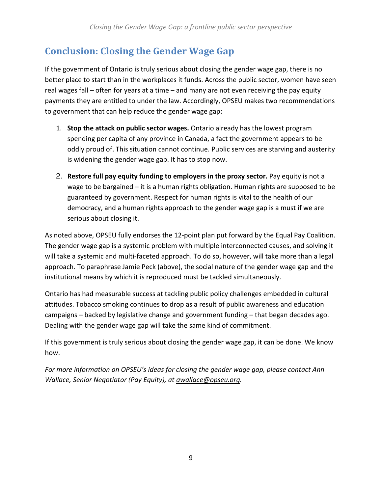# Conclusion: Closing the Gender Wage Gap

If the government of Ontario is truly serious about closing the gender wage gap, there is no better place to start than in the workplaces it funds. Across the public sector, women have seen real wages fall – often for years at a time – and many are not even receiving the pay equity payments they are entitled to under the law. Accordingly, OPSEU makes two recommendations to government that can help reduce the gender wage gap:

- 1. Stop the attack on public sector wages. Ontario already has the lowest program spending per capita of any province in Canada, a fact the government appears to be oddly proud of. This situation cannot continue. Public services are starving and austerity is widening the gender wage gap. It has to stop now.
- 2. Restore full pay equity funding to employers in the proxy sector. Pay equity is not a wage to be bargained – it is a human rights obligation. Human rights are supposed to be guaranteed by government. Respect for human rights is vital to the health of our democracy, and a human rights approach to the gender wage gap is a must if we are serious about closing it.

As noted above, OPSEU fully endorses the 12-point plan put forward by the Equal Pay Coalition. The gender wage gap is a systemic problem with multiple interconnected causes, and solving it will take a systemic and multi-faceted approach. To do so, however, will take more than a legal approach. To paraphrase Jamie Peck (above), the social nature of the gender wage gap and the institutional means by which it is reproduced must be tackled simultaneously.

Ontario has had measurable success at tackling public policy challenges embedded in cultural attitudes. Tobacco smoking continues to drop as a result of public awareness and education campaigns – backed by legislative change and government funding – that began decades ago. Dealing with the gender wage gap will take the same kind of commitment.

If this government is truly serious about closing the gender wage gap, it can be done. We know how.

For more information on OPSEU's ideas for closing the gender wage gap, please contact Ann Wallace, Senior Negotiator (Pay Equity), at awallace@opseu.org.